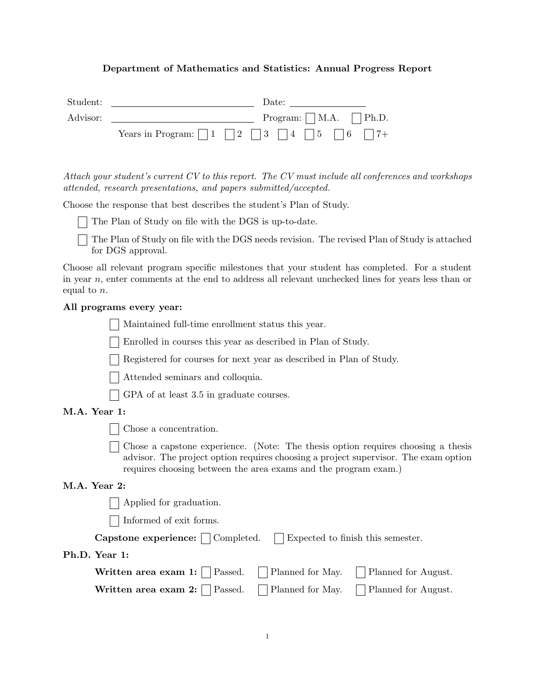# Department of Mathematics and Statistics: Annual Progress Report

| Student: |                                        | Date:                             |
|----------|----------------------------------------|-----------------------------------|
| Advisor: |                                        | Program: $\vert$   M.A.     Ph.D. |
|          | Years in Program: $ 1 2 3 4 4 5 16 7+$ |                                   |

Attach your student's current CV to this report. The CV must include all conferences and workshops attended, research presentations, and papers submitted/accepted.

Choose the response that best describes the student's Plan of Study.

The Plan of Study on file with the DGS is up-to-date.

The Plan of Study on file with the DGS needs revision. The revised Plan of Study is attached for DGS approval.

Choose all relevant program specific milestones that your student has completed. For a student in year n, enter comments at the end to address all relevant unchecked lines for years less than or equal to n.

# All programs every year:

Maintained full-time enrollment status this year.

Enrolled in courses this year as described in Plan of Study.

Registered for courses for next year as described in Plan of Study.

Attended seminars and colloquia.

GPA of at least 3.5 in graduate courses.

## M.A. Year 1:

Chose a concentration.

Chose a capstone experience. (Note: The thesis option requires choosing a thesis advisor. The project option requires choosing a project supervisor. The exam option requires choosing between the area exams and the program exam.)

#### M.A. Year 2:

Applied for graduation.

Informed of exit forms.

| Capstone experience: | $\perp$ Completed. | Expected to finish this semester. |
|----------------------|--------------------|-----------------------------------|
|----------------------|--------------------|-----------------------------------|

## Ph.D. Year 1:

| Written area exam 1: $\Box$ Passed. $\Box$ Planned for May. $\Box$ Planned for August. |  |
|----------------------------------------------------------------------------------------|--|
| Written area exam 2: $\Box$ Passed. $\Box$ Planned for May. $\Box$ Planned for August. |  |